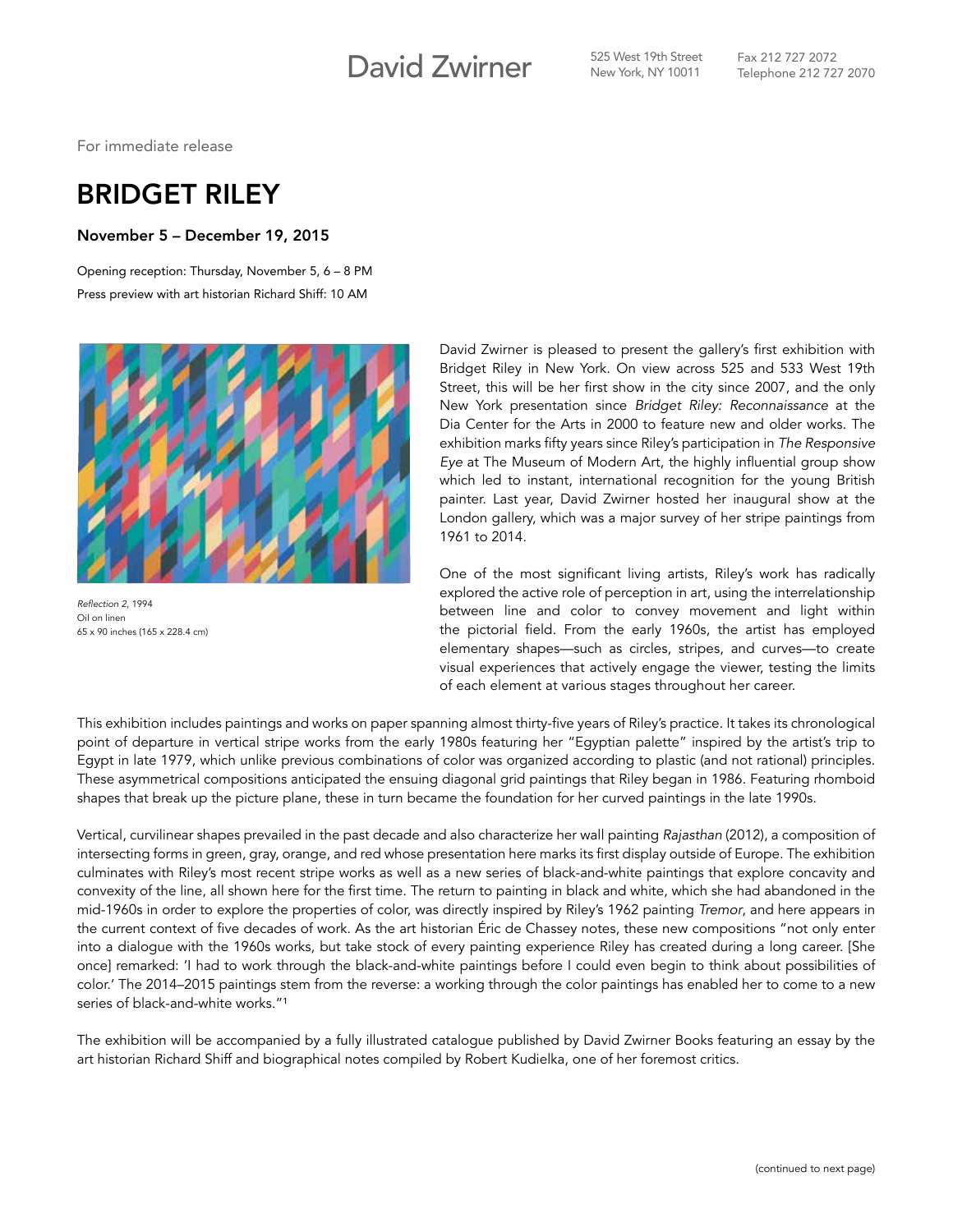## David Zwirner **S25 West 19th Street**

For immediate release

## BRIDGET RILEY

## November 5 – December 19, 2015

Opening reception: Thursday, November 5, 6 – 8 PM Press preview with art historian Richard Shiff: 10 AM



Reflection 2, 1994 Oil on linen 65 x 90 inches (165 x 228.4 cm)

David Zwirner is pleased to present the gallery's first exhibition with Bridget Riley in New York. On view across 525 and 533 West 19th Street, this will be her first show in the city since 2007, and the only New York presentation since *Bridget Riley: Reconnaissance* at the Dia Center for the Arts in 2000 to feature new and older works. The exhibition marks fifty years since Riley's participation in *The Responsive Eye* at The Museum of Modern Art, the highly influential group show which led to instant, international recognition for the young British painter. Last year, David Zwirner hosted her inaugural show at the London gallery, which was a major survey of her stripe paintings from 1961 to 2014.

One of the most significant living artists, Riley's work has radically explored the active role of perception in art, using the interrelationship between line and color to convey movement and light within the pictorial field. From the early 1960s, the artist has employed elementary shapes—such as circles, stripes, and curves—to create visual experiences that actively engage the viewer, testing the limits of each element at various stages throughout her career.

This exhibition includes paintings and works on paper spanning almost thirty-five years of Riley's practice. It takes its chronological point of departure in vertical stripe works from the early 1980s featuring her "Egyptian palette" inspired by the artist's trip to Egypt in late 1979, which unlike previous combinations of color was organized according to plastic (and not rational) principles. These asymmetrical compositions anticipated the ensuing diagonal grid paintings that Riley began in 1986. Featuring rhomboid shapes that break up the picture plane, these in turn became the foundation for her curved paintings in the late 1990s.

Vertical, curvilinear shapes prevailed in the past decade and also characterize her wall painting *Rajasthan* (2012), a composition of intersecting forms in green, gray, orange, and red whose presentation here marks its first display outside of Europe. The exhibition culminates with Riley's most recent stripe works as well as a new series of black-and-white paintings that explore concavity and convexity of the line, all shown here for the first time. The return to painting in black and white, which she had abandoned in the mid-1960s in order to explore the properties of color, was directly inspired by Riley's 1962 painting *Tremor*, and here appears in the current context of five decades of work. As the art historian Éric de Chassey notes, these new compositions "not only enter into a dialogue with the 1960s works, but take stock of every painting experience Riley has created during a long career. [She once] remarked: 'I had to work through the black-and-white paintings before I could even begin to think about possibilities of color.' The 2014–2015 paintings stem from the reverse: a working through the color paintings has enabled her to come to a new series of black-and-white works."<sup>1</sup>

The exhibition will be accompanied by a fully illustrated catalogue published by David Zwirner Books featuring an essay by the art historian Richard Shiff and biographical notes compiled by Robert Kudielka, one of her foremost critics.